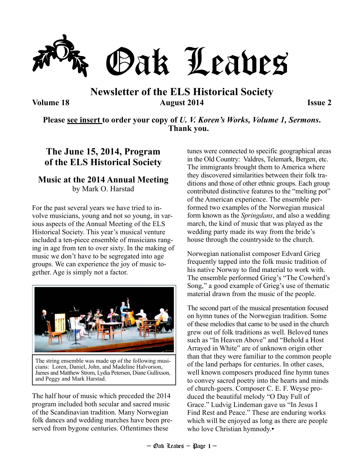

## **Newsletter of the ELS Historical Society Volume 18 Issue 2 August 2014 Issue 2**

**Please see insert to order your copy of** *U. V. Koren's Works, Volume 1, Sermons***. Thank you.** 

### **The June 15, 2014, Program of the ELS Historical Society**

### **Music at the 2014 Annual Meeting**  by Mark O. Harstad

For the past several years we have tried to involve musicians, young and not so young, in various aspects of the Annual Meeting of the ELS Historical Society. This year's musical venture included a ten-piece ensemble of musicians ranging in age from ten to over sixty. In the making of music we don't have to be segregated into age groups. We can experience the joy of music together. Age is simply not a factor.



The string ensemble was made up of the following musicians: Loren, Daniel, John, and Madeline Halvorson, James and Matthew Strom, Lydia Petersen, Diane Gullixson, and Peggy and Mark Harstad.

The half hour of music which preceded the 2014 program included both secular and sacred music of the Scandinavian tradition. Many Norwegian folk dances and wedding marches have been preserved from bygone centuries. Oftentimes these

tunes were connected to specific geographical areas in the Old Country: Valdres, Telemark, Bergen, etc. The immigrants brought them to America where they discovered similarities between their folk traditions and those of other ethnic groups. Each group contributed distinctive features to the "melting pot" of the American experience. The ensemble performed two examples of the Norwegian musical form known as the *Springdans*, and also a wedding march, the kind of music that was played as the wedding party made its way from the bride's house through the countryside to the church.

Norwegian nationalist composer Edvard Grieg frequently tapped into the folk music tradition of his native Norway to find material to work with. The ensemble performed Grieg's "The Cowherd's Song," a good example of Grieg's use of thematic material drawn from the music of the people.

The second part of the musical presentation focused on hymn tunes of the Norwegian tradition. Some of these melodies that came to be used in the church grew out of folk traditions as well. Beloved tunes such as "In Heaven Above" and "Behold a Host Arrayed in White" are of unknown origin other than that they were familiar to the common people of the land perhaps for centuries. In other cases, well known composers produced fine hymn tunes to convey sacred poetry into the hearts and minds of church-goers. Composer C. E. F. Weyse produced the beautiful melody "O Day Full of Grace." Ludvig Lindeman gave us "In Jesus I Find Rest and Peace." These are enduring works which will be enjoyed as long as there are people who love Christian hymnody.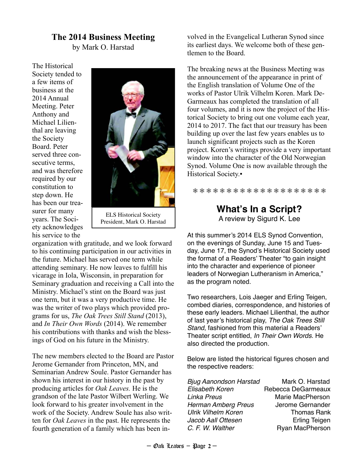### **The 2014 Business Meeting**

by Mark O. Harstad

The Historical Society tended to a few items of business at the 2014 Annual Meeting. Peter Anthony and Michael Lilienthal are leaving the Society Board. Peter served three consecutive terms, and was therefore required by our constitution to step down. He has been our treasurer for many years. The Society acknowledges his service to the



ELS Historical Society President, Mark O. Harstad

organization with gratitude, and we look forward to his continuing participation in our activities in the future. Michael has served one term while attending seminary. He now leaves to fulfill his vicarage in Iola, Wisconsin, in preparation for Seminary graduation and receiving a Call into the Ministry. Michael's stint on the Board was just one term, but it was a very productive time. He was the writer of two plays which provided programs for us, *The Oak Trees Still Stand* (2013), and *In Their Own Words* (2014). We remember his contributions with thanks and wish the blessings of God on his future in the Ministry.

The new members elected to the Board are Pastor Jerome Gernander from Princeton, MN, and Seminarian Andrew Soule. Pastor Gernander has shown his interest in our history in the past by producing articles for *Oak Leaves.* He is the grandson of the late Pastor Wilbert Werling. We look forward to his greater involvement in the work of the Society. Andrew Soule has also written for *Oak Leaves* in the past. He represents the fourth generation of a family which has been involved in the Evangelical Lutheran Synod since its earliest days. We welcome both of these gentlemen to the Board.

The breaking news at the Business Meeting was the announcement of the appearance in print of the English translation of Volume One of the works of Pastor Ulrik Vilhelm Koren. Mark De-Garmeaux has completed the translation of all four volumes, and it is now the project of the Historical Society to bring out one volume each year, 2014 to 2017. The fact that our treasury has been building up over the last few years enables us to launch significant projects such as the Koren project. Koren's writings provide a very important window into the character of the Old Norwegian Synod. Volume One is now available through the Historical Society.▪

❅ ❅ ❅ ❅ ❅ ❅ ❅ ❅ ❅ ❅ ❅ ❅ ❅ ❅ ❅ ❅ ❅ ❅ ❅ ❅

### **What's In a Script?** A review by Sigurd K. Lee

At this summer's 2014 ELS Synod Convention, on the evenings of Sunday, June 15 and Tuesday, June 17, the Synod's Historical Society used the format of a Readers' Theater "to gain insight into the character and experience of pioneer leaders of Norwegian Lutheranism in America," as the program noted.

Two researchers, Lois Jaeger and Erling Teigen, combed diaries, correspondence, and histories of these early leaders. Michael Lilienthal, the author of last year's historical play, The Oak Trees Still Stand, fashioned from this material a Readers' Theater script entitled, In Their Own Words. He also directed the production.

Below are listed the historical figures chosen and the respective readers:

| Bjug Aanondson Harstad     | Mark O. Harstad      |
|----------------------------|----------------------|
| <b>Elisabeth Koren</b>     | Rebecca DeGarmeaux   |
| Linka Preus                | Marie MacPherson     |
| <b>Herman Amberg Preus</b> | Jerome Gernander     |
| <b>Ulrik Vilhelm Koren</b> | <b>Thomas Rank</b>   |
| Jacob Aall Ottesen         | <b>Erling Teigen</b> |
| C. F. W. Walther           | Ryan MacPherson      |
|                            |                      |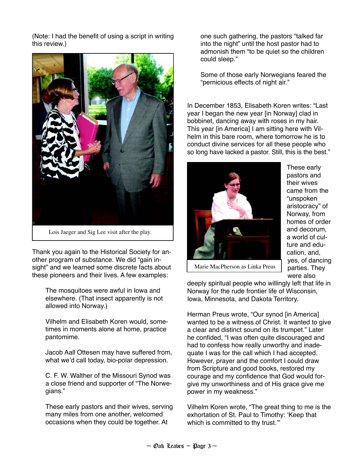(Note: I had the benefit of using a script in writing this review.)



Lois Jaeger and Sig Lee visit after the play.

Thank you again to the Historical Society for another program of substance. We did "gain insight" and we learned some discrete facts about these pioneers and their lives. A few examples:

The mosquitoes were awful in Iowa and elsewhere. (That insect apparently is not allowed into Norway.)

Vilhelm and Elisabeth Koren would, sometimes in moments alone at home, practice pantomime.

Jacob Aall Ottesen may have suffered from, what we'd call today, bio-polar depression.

C. F. W. Walther of the Missouri Synod was a close friend and supporter of "The Norwegians."

These early pastors and their wives, serving many miles from one another, welcomed occasions when they could be together. At

one such gathering, the pastors "talked far into the night" until the host pastor had to admonish them "to be quiet so the children could sleep."

Some of those early Norwegians feared the "pernicious effects of night air."

In December 1853, Elisabeth Koren writes: "Last year I began the new year [in Norway] clad in bobbinet, dancing away with roses in my hair. This year [in America] I am sitting here with Vilhelm in this bare room, where tomorrow he is to conduct divine services for all these people who so long have lacked a pastor. Still, this is the best."



These early pastors and their wives came from the "unspoken aristocracy" of Norway, from homes of order and decorum, a world of culture and education, and, yes, of dancing parties. They were also

Marie MacPherson as Linka Preus

deeply spiritual people who willingly left that life in Norway for the rude frontier life of Wisconsin, Iowa, Minnesota, and Dakota Territory.

Herman Preus wrote, "Our synod [in America] wanted to be a witness of Christ. It wanted to give a clear and distinct sound on its trumpet." Later he confided, "I was often quite discouraged and had to confess how really unworthy and inadequate I was for the call which I had accepted. However, prayer and the comfort I could draw from Scripture and good books, restored my courage and my confidence that God would forgive my unworthiness and of His grace give me power in my weakness."

Vilhelm Koren wrote, "The great thing to me is the exhortation of St. Paul to Timothy: 'Keep that which is committed to thy trust."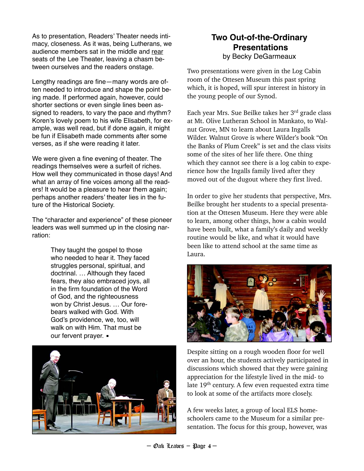As to presentation, Readers' Theater needs intimacy, closeness. As it was, being Lutherans, we audience members sat in the middle and rear seats of the Lee Theater, leaving a chasm between ourselves and the readers onstage.

Lengthy readings are fine—many words are often needed to introduce and shape the point being made. If performed again, however, could shorter sections or even single lines been assigned to readers, to vary the pace and rhythm? Koren's lovely poem to his wife Elisabeth, for example, was well read, but if done again, it might be fun if Elisabeth made comments after some verses, as if she were reading it later.

We were given a fine evening of theater. The readings themselves were a surfeit of riches. How well they communicated in those days! And what an array of fine voices among all the readers! It would be a pleasure to hear them again; perhaps another readers' theater lies in the future of the Historical Society.

The "character and experience" of these pioneer leaders was well summed up in the closing narration:

> They taught the gospel to those who needed to hear it. They faced struggles personal, spiritual, and doctrinal. … Although they faced fears, they also embraced joys, all in the firm foundation of the Word of God, and the righteousness won by Christ Jesus. … Our forebears walked with God. With God's providence, we, too, will walk on with Him. That must be our fervent prayer.  $\blacksquare$



### **Two Out-of-the-Ordinary Presentations** by Becky DeGarmeaux

Two presentations were given in the Log Cabin room of the Ottesen Museum this past spring which, it is hoped, will spur interest in history in the young people of our Synod.

Each year Mrs. Sue Beilke takes her 3rd grade class at Mt. Olive Lutheran School in Mankato, to Walnut Grove, MN to learn about Laura Ingalls Wilder. Walnut Grove is where Wilder's book "On the Banks of Plum Creek" is set and the class visits some of the sites of her life there. One thing which they cannot see there is a log cabin to experience how the Ingalls family lived after they moved out of the dugout where they first lived.

In order to give her students that perspective, Mrs. Beilke brought her students to a special presentation at the Ottesen Museum. Here they were able to learn, among other things, how a cabin would have been built, what a family's daily and weekly routine would be like, and what it would have been like to attend school at the same time as Laura.



Despite sitting on a rough wooden floor for well over an hour, the students actively participated in discussions which showed that they were gaining appreciation for the lifestyle lived in the mid- to late 19<sup>th</sup> century. A few even requested extra time to look at some of the artifacts more closely.

A few weeks later, a group of local ELS homeschoolers came to the Museum for a similar presentation. The focus for this group, however, was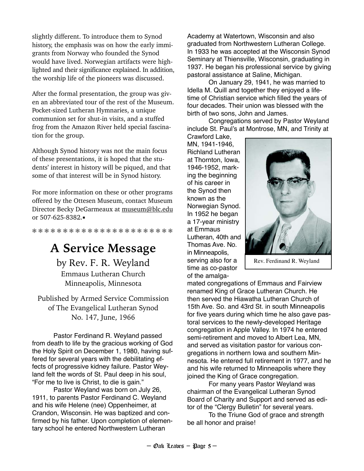slightly different. To introduce them to Synod history, the emphasis was on how the early immigrants from Norway who founded the Synod would have lived. Norwegian artifacts were highlighted and their significance explained. In addition, the worship life of the pioneers was discussed.

After the formal presentation, the group was given an abbreviated tour of the rest of the Museum. Pocket-sized Lutheran Hymnaries, a unique communion set for shut-in visits, and a stuffed frog from the Amazon River held special fascination for the group.

Although Synod history was not the main focus of these presentations, it is hoped that the students' interest in history will be piqued, and that some of that interest will be in Synod history.

For more information on these or other programs offered by the Ottesen Museum, contact Museum Director Becky DeGarmeaux at museum@blc.edu or 507-625-8382.▪

❅ ❅ ❅ ❅ ❅ ❅ ❅ ❅ ❅ ❅ ❅ ❅ ❅ ❅ ❅ ❅ ❅ ❅ ❅ ❅ ❅ ❅ ❅

# **A Service Message**

by Rev. F. R. Weyland Emmaus Lutheran Church Minneapolis, Minnesota

Published by Armed Service Commission of The Evangelical Lutheran Synod No. 147, June, 1966

Pastor Ferdinand R. Weyland passed from death to life by the gracious working of God the Holy Spirit on December 1, 1980, having suffered for several years with the debilitating effects of progressive kidney failure. Pastor Weyland felt the words of St. Paul deep in his soul, "For me to live is Christ, to die is gain."

Pastor Weyland was born on July 26, 1911, to parents Pastor Ferdinand C. Weyland and his wife Helene (nee) Oppenheimer, at Crandon, Wisconsin. He was baptized and confirmed by his father. Upon completion of elementary school he entered Northwestern Lutheran

Academy at Watertown, Wisconsin and also graduated from Northwestern Lutheran College. In 1933 he was accepted at the Wisconsin Synod Seminary at Thiensville, Wisconsin, graduating in 1937. He began his professional service by giving pastoral assistance at Saline, Michigan.

On January 29, 1941, he was married to Idella M. Quill and together they enjoyed a lifetime of Christian service which filled the years of four decades. Their union was blessed with the birth of two sons, John and James.

Congregations served by Pastor Weyland include St. Paul's at Montrose, MN, and Trinity at Crawford Lake,

MN, 1941-1946, Richland Lutheran at Thornton, Iowa, 1946-1952, marking the beginning of his career in the Synod then known as the Norwegian Synod. In 1952 he began a 17-year ministry at Emmaus Lutheran, 40th and Thomas Ave. No. in Minneapolis, serving also for a time as co-pastor of the amalga-



Rev. Ferdinand R. Weyland

mated congregations of Emmaus and Fairview renamed King of Grace Lutheran Church. He then served the Hiawatha Lutheran Church of 15th Ave. So. and 43rd St. in south Minneapolis for five years during which time he also gave pastoral services to the newly-developed Heritage congregation in Apple Valley. In 1974 he entered semi-retirement and moved to Albert Lea, MN, and served as visitation pastor for various congregations in northern Iowa and southern Minnesota. He entered full retirement in 1977, and he and his wife returned to Minneapolis where they joined the King of Grace congregation.

For many years Pastor Weyland was chairman of the Evangelical Lutheran Synod Board of Charity and Support and served as editor of the "Clergy Bulletin" for several years.

To the Triune God of grace and strength be all honor and praise!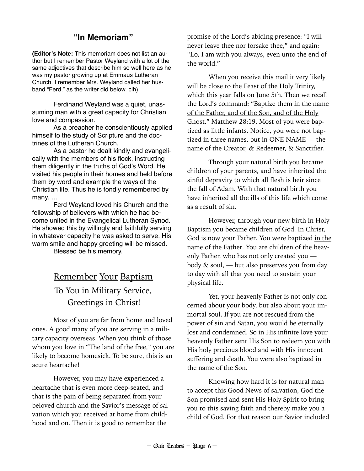### **"In Memoriam"**

**(Editor's Note:** This memoriam does not list an author but I remember Pastor Weyland with a lot of the same adjectives that describe him so well here as he was my pastor growing up at Emmaus Lutheran Church. I remember Mrs. Weyland called her husband "Ferd," as the writer did below. clh)

Ferdinand Weyland was a quiet, unassuming man with a great capacity for Christian love and compassion.

As a preacher he conscientiously applied himself to the study of Scripture and the doctrines of the Lutheran Church.

As a pastor he dealt kindly and evangelically with the members of his flock, instructing them diligently in the truths of God's Word. He visited his people in their homes and held before them by word and example the ways of the Christian life. Thus he is fondly remembered by many. …

Ferd Weyland loved his Church and the fellowship of believers with which he had become united in the Evangelical Lutheran Synod. He showed this by willingly and faithfully serving in whatever capacity he was asked to serve. His warm smile and happy greeting will be missed.

Blessed be his memory.

## Remember Your Baptism

## To You in Military Service, Greetings in Christ!

Most of you are far from home and loved ones. A good many of you are serving in a military capacity overseas. When you think of those whom you love in "The land of the free," you are likely to become homesick. To be sure, this is an acute heartache!

 However, you may have experienced a heartache that is even more deep-seated, and that is the pain of being separated from your beloved church and the Savior's message of salvation which you received at home from childhood and on. Then it is good to remember the

promise of the Lord's abiding presence: "I will never leave thee nor forsake thee," and again: "Lo, I am with you always, even unto the end of the world."

 When you receive this mail it very likely will be close to the Feast of the Holy Trinity, which this year falls on June 5th. Then we recall the Lord's command: "Baptize them in the name of the Father, and of the Son, and of the Holy Ghost." Matthew 28:19. Most of you were baptized as little infants. Notice, you were not baptized in three names, but in ONE NAME — the name of the Creator, & Redeemer, & Sanctifier.

 Through your natural birth you became children of your parents, and have inherited the sinful depravity to which all flesh is heir since the fall of Adam. With that natural birth you have inherited all the ills of this life which come as a result of sin.

 However, through your new birth in Holy Baptism you became children of God. In Christ, God is now your Father. You were baptized in the name of the Father. You are children of the heavenly Father, who has not only created you body & soul, — but also preserves you from day to day with all that you need to sustain your physical life.

 Yet, your heavenly Father is not only concerned about your body, but also about your immortal soul. If you are not rescued from the power of sin and Satan, you would be eternally lost and condemned. So in His infinite love your heavenly Father sent His Son to redeem you with His holy precious blood and with His innocent suffering and death. You were also baptized in the name of the Son.

 Knowing how hard it is for natural man to accept this Good News of salvation, God the Son promised and sent His Holy Spirit to bring you to this saving faith and thereby make you a child of God. For that reason our Savior included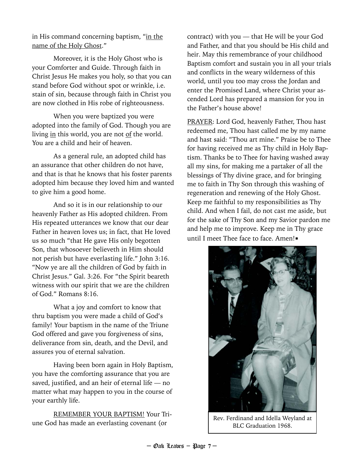in His command concerning baptism, "in the name of the Holy Ghost."

 Moreover, it is the Holy Ghost who is your Comforter and Guide. Through faith in Christ Jesus He makes you holy, so that you can stand before God without spot or wrinkle, i.e. stain of sin, because through faith in Christ you are now clothed in His robe of righteousness.

 When you were baptized you were adopted into the family of God. Though you are living in this world, you are not of the world. You are a child and heir of heaven.

 As a general rule, an adopted child has an assurance that other children do not have, and that is that he knows that his foster parents adopted him because they loved him and wanted to give him a good home.

 And so it is in our relationship to our heavenly Father as His adopted children. From His repeated utterances we know that our dear Father in heaven loves us; in fact, that He loved us so much "that He gave His only begotten Son, that whosoever believeth in Him should not perish but have everlasting life." John 3:16. "Now ye are all the children of God by faith in Christ Jesus." Gal. 3:26. For "the Spirit beareth witness with our spirit that we are the children of God." Romans 8:16.

 What a joy and comfort to know that thru baptism you were made a child of God's family! Your baptism in the name of the Triune God offered and gave you forgiveness of sins, deliverance from sin, death, and the Devil, and assures you of eternal salvation.

 Having been born again in Holy Baptism, you have the comforting assurance that you are saved, justified, and an heir of eternal life — no matter what may happen to you in the course of your earthly life.

 REMEMBER YOUR BAPTISM! Your Triune God has made an everlasting covenant (or

contract) with you — that He will be your God and Father, and that you should be His child and heir. May this remembrance of your childhood Baptism comfort and sustain you in all your trials and conflicts in the weary wilderness of this world, until you too may cross the Jordan and enter the Promised Land, where Christ your ascended Lord has prepared a mansion for you in the Father's house above!

PRAYER: Lord God, heavenly Father, Thou hast redeemed me, Thou hast called me by my name and hast said: "Thou art mine." Praise be to Thee for having received me as Thy child in Holy Baptism. Thanks be to Thee for having washed away all my sins, for making me a partaker of all the blessings of Thy divine grace, and for bringing me to faith in Thy Son through this washing of regeneration and renewing of the Holy Ghost. Keep me faithful to my responsibilities as Thy child. And when I fail, do not cast me aside, but for the sake of Thy Son and my Savior pardon me and help me to improve. Keep me in Thy grace until I meet Thee face to face. Amen!



Rev. Ferdinand and Idella Weyland at BLC Graduation 1968.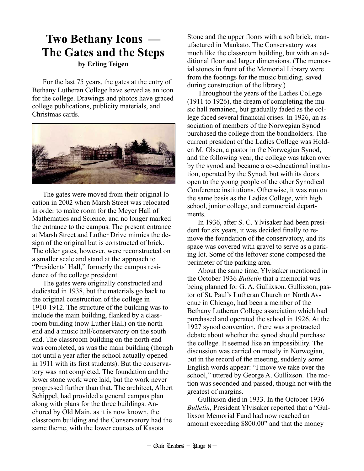## **Two Bethany Icons — The Gates and the Steps by Erling Teigen**

For the last 75 years, the gates at the entry of Bethany Lutheran College have served as an icon for the college. Drawings and photos have graced college publications, publicity materials, and Christmas cards.



The gates were moved from their original location in 2002 when Marsh Street was relocated in order to make room for the Meyer Hall of Mathematics and Science, and no longer marked the entrance to the campus. The present entrance at Marsh Street and Luther Drive mimics the design of the original but is constructed of brick. The older gates, however, were reconstructed on a smaller scale and stand at the approach to "Presidents' Hall," formerly the campus residence of the college president.

The gates were originally constructed and dedicated in 1938, but the materials go back to the original construction of the college in 1910-1912. The structure of the building was to include the main building, flanked by a classroom building (now Luther Hall) on the north end and a music hall/conservatory on the south end. The classroom building on the north end was completed, as was the main building (though not until a year after the school actually opened in 1911 with its first students). But the conservatory was not completed. The foundation and the lower stone work were laid, but the work never progressed further than that. The architect, Albert Schippel, had provided a general campus plan along with plans for the three buildings. Anchored by Old Main, as it is now known, the classroom building and the Conservatory had the same theme, with the lower courses of Kasota

Stone and the upper floors with a soft brick, manufactured in Mankato. The Conservatory was much like the classroom building, but with an additional floor and larger dimensions. (The memorial stones in front of the Memorial Library were from the footings for the music building, saved during construction of the library.)

Throughout the years of the Ladies College (1911 to 1926), the dream of completing the music hall remained, but gradually faded as the college faced several financial crises. In 1926, an association of members of the Norwegian Synod purchased the college from the bondholders. The current president of the Ladies College was Holden M. Olsen, a pastor in the Norwegian Synod, and the following year, the college was taken over by the synod and became a co-educational institution, operated by the Synod, but with its doors open to the young people of the other Synodical Conference institutions. Otherwise, it was run on the same basis as the Ladies College, with high school, junior college, and commercial departments.

In 1936, after S. C. Ylvisaker had been president for six years, it was decided finally to remove the foundation of the conservatory, and its space was covered with gravel to serve as a parking lot. Some of the leftover stone composed the perimeter of the parking area.

About the same time, Ylvisaker mentioned in the October 1936 *Bulletin* that a memorial was being planned for G. A. Gullixson. Gullixson, pastor of St. Paul's Lutheran Church on North Avenue in Chicago, had been a member of the Bethany Lutheran College association which had purchased and operated the school in 1926. At the 1927 synod convention, there was a protracted debate about whether the synod should purchase the college. It seemed like an impossibility. The discussion was carried on mostly in Norwegian, but in the record of the meeting, suddenly some English words appear: "I move we take over the school," uttered by George A. Gullixson. The motion was seconded and passed, though not with the greatest of margins.

Gullixson died in 1933. In the October 1936 *Bulletin*, President Ylvisaker reported that a "Gullixson Memorial Fund had now reached an amount exceeding \$800.00" and that the money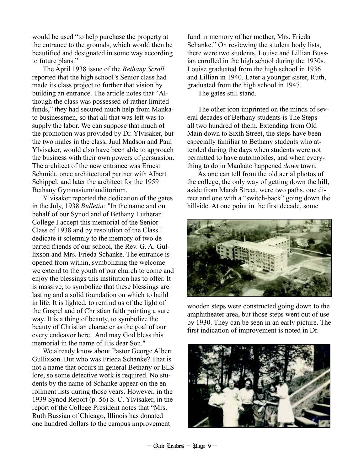would be used "to help purchase the property at the entrance to the grounds, which would then be beautified and designated in some way according to future plans."

The April 1938 issue of the *Bethany Scroll* reported that the high school's Senior class had made its class project to further that vision by building an entrance. The article notes that "Although the class was possessed of rather limited funds," they had secured much help from Mankato businessmen, so that all that was left was to supply the labor. We can suppose that much of the promotion was provided by Dr. Ylvisaker, but the two males in the class, Juul Madson and Paul Ylvisaker, would also have been able to approach the business with their own powers of persuasion. The architect of the new entrance was Ernest Schmidt, once architectural partner with Albert Schippel, and later the architect for the 1959 Bethany Gymnasium/auditorium.

Ylvisaker reported the dedication of the gates in the July, 1938 *Bulletin:* "In the name and on behalf of our Synod and of Bethany Lutheran College I accept this memorial of the Senior Class of 1938 and by resolution of the Class I dedicate it solemnly to the memory of two departed friends of our school, the Rev. G. A. Gullixson and Mrs. Frieda Schanke. The entrance is opened from within, symbolizing the welcome we extend to the youth of our church to come and enjoy the blessings this institution has to offer. It is massive, to symbolize that these blessings are lasting and a solid foundation on which to build in life. It is lighted, to remind us of the light of the Gospel and of Christian faith pointing a sure way. It is a thing of beauty, to symbolize the beauty of Christian character as the goal of our every endeavor here. And may God bless this memorial in the name of His dear Son."

We already know about Pastor George Albert Gullixson. But who was Frieda Schanke? That is not a name that occurs in general Bethany or ELS lore, so some detective work is required. No students by the name of Schanke appear on the enrollment lists during those years. However, in the 1939 Synod Report (p. 56) S. C. Ylvisaker, in the report of the College President notes that "Mrs. Ruth Bussian of Chicago, Illinois has donated one hundred dollars to the campus improvement

fund in memory of her mother, Mrs. Frieda Schanke." On reviewing the student body lists, there were two students, Louise and Lillian Bussian enrolled in the high school during the 1930s. Louise graduated from the high school in 1936 and Lillian in 1940. Later a younger sister, Ruth, graduated from the high school in 1947.

The gates still stand.

The other icon imprinted on the minds of several decades of Bethany students is The Steps all two hundred of them. Extending from Old Main down to Sixth Street, the steps have been especially familiar to Bethany students who attended during the days when students were not permitted to have automobiles, and when everything to do in Mankato happened *down* town.

As one can tell from the old aerial photos of the college, the only way of getting down the hill, aside from Marsh Street, were two paths, one direct and one with a "switch-back" going down the hillside. At one point in the first decade, some



wooden steps were constructed going down to the amphitheater area, but those steps went out of use by 1930. They can be seen in an early picture. The first indication of improvement is noted in Dr.

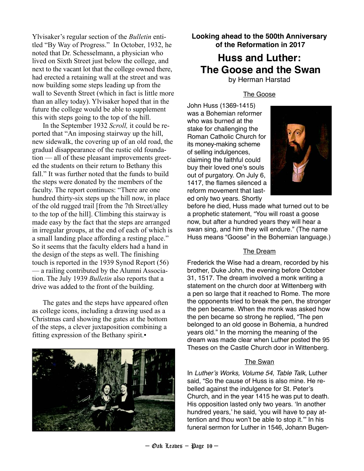Ylvisaker's regular section of the *Bulletin* entitled "By Way of Progress." In October, 1932, he noted that Dr. Schesselmann, a physician who lived on Sixth Street just below the college, and next to the vacant lot that the college owned there, had erected a retaining wall at the street and was now building some steps leading up from the wall to Seventh Street (which in fact is little more than an alley today). Ylvisaker hoped that in the future the college would be able to supplement this with steps going to the top of the hill.

In the September 1932 *Scroll,* it could be reported that "An imposing stairway up the hill, new sidewalk, the covering up of an old road, the gradual disappearance of the rustic old foundation — all of these pleasant improvements greeted the students on their return to Bethany this fall." It was further noted that the funds to build the steps were donated by the members of the faculty. The report continues: "There are one hundred thirty-six steps up the hill now, in place of the old rugged trail [from the 7th Street/alley to the top of the hill]. Climbing this stairway is made easy by the fact that the steps are arranged in irregular groups, at the end of each of which is a small landing place affording a resting place." So it seems that the faculty elders had a hand in the design of the steps as well. The finishing touch is reported in the 1939 Synod Report (56) — a railing contributed by the Alumni Association. The July 1939 *Bulletin* also reports that a drive was added to the front of the building.

The gates and the steps have appeared often as college icons, including a drawing used as a Christmas card showing the gates at the bottom of the steps, a clever juxtaposition combining a fitting expression of the Bethany spirit.



#### **Looking ahead to the 500th Anniversary of the Reformation in 2017**

## **Huss and Luther: The Goose and the Swan**

by Herman Harstad

#### The Goose

John Huss (1369-1415) was a Bohemian reformer who was burned at the stake for challenging the Roman Catholic Church for its money-making scheme of selling indulgences, claiming the faithful could buy their loved one's souls out of purgatory. On July 6, 1417, the flames silenced a reform movement that lasted only two years. Shortly



before he died, Huss made what turned out to be a prophetic statement, "You will roast a goose now, but after a hundred years they will hear a swan sing, and him they will endure." (The name Huss means "Goose" in the Bohemian language.)

#### The Dream

Frederick the Wise had a dream, recorded by his brother, Duke John, the evening before October 31, 1517. The dream involved a monk writing a statement on the church door at Wittenberg with a pen so large that it reached to Rome. The more the opponents tried to break the pen, the stronger the pen became. When the monk was asked how the pen became so strong he replied, "The pen belonged to an old goose in Bohemia, a hundred years old." In the morning the meaning of the dream was made clear when Luther posted the 95 Theses on the Castle Church door in Wittenberg.

#### The Swan

In Luther's Works, Volume 54, Table Talk, Luther said, "So the cause of Huss is also mine. He rebelled against the indulgence for St. Peter's Church, and in the year 1415 he was put to death. His opposition lasted only two years. 'In another hundred years,' he said, 'you will have to pay attention and thou won't be able to stop it.'" In his funeral sermon for Luther in 1546, Johann Bugen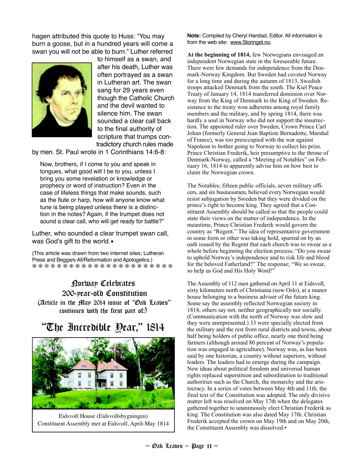hagen attributed this quote to Huss: "You may burn a goose, but in a hundred years will come a swan you will not be able to burn." Luther referred



to himself as a swan, and after his death, Luther was often portrayed as a swan in Lutheran art. The swan sang for 29 years even though the Catholic Church and the devil wanted to silence him. The swan sounded a clear call back to the final authority of scripture that trumps contradictory church rules made

by men. St. Paul wrote in 1 Corinthians 14:6-8:

Now, brothers, if I come to you and speak in tongues, what good will I be to you, unless I bring you some revelation or knowledge or prophecy or word of instruction? Even in the case of lifeless things that make sounds, such as the flute or harp, how will anyone know what tune is being played unless there is a distinction in the notes? Again, if the trumpet does not sound a clear call, who will get ready for battle?"

Luther, who sounded a clear trumpet swan call, was God's gift to the world.

(This article was drawn from two internet sites; Lutheran Press and Beggars All/Reformation and Apologetics.) ❅ ❅ ❅ ❅ ❅ ❅ ❅ ❅ ❅ ❅ ❅ ❅ ❅ ❅ ❅ ❅ ❅ ❅ ❅ ❅ ❅ ❅ ❅

#### Norway Celebrates 200-year-old Constitution (Article in the May 2014 issue of "Oak Leaves" continues with the first part of:)

## "The Incredible Year," 1814



Eidsvoll House (Eidsvollsbygningen) Constituent Assembly met at Eidsvoll, April-May 1814

**Note:** Compiled by Cheryl Harstad, Editor. All information is from the web site: www.Storinget.no.

**At the beginning of 1814,** few Norwegians envisaged an independent Norwegian state in the foreseeable future. There were few demands for independence from the Denmark-Norway Kingdom. But Sweden had coveted Norway for a long time and during the autumn of 1813, Swedish troops attacked Denmark from the south. The Kiel Peace Treaty of January 14, 1814 transferred dominion over Norway from the King of Denmark to the King of Sweden. Resistance to the treaty won adherents among royal family members and the military, and by spring 1814, there was hardly a soul in Norway who did not support the insurrection. The appointed ruler over Sweden, Crown Prince Carl Johan (formerly General Jean Baptiste Bernadotte, Marshal of France), was too preoccupied with the war against Napoleon to bother going to Norway to collect his prize. Prince Christian Frederik, heir presumptive to the throne of Denmark-Norway, called a "Meeting of Notables" on February 16, 1814 to apparently advise him on how best to claim the Norwegian crown.

The Notables; fifteen public officials, seven military officers, and six businessmen, believed every Norwegian would resist subjugation by Sweden but they were divided on the prince's right to become king. They agreed that a Constituent Assembly should be called so that the people could state their views on the matter of independence. In the meantime, Prince Christian Frederik would govern the country as "Regent." The idea of representative government in some form or other was taking hold, spurred on by an oath issued by the Regent that each church was to swear as a whole before beginning the election process; "Do you swear to uphold Norway's independence and to risk life and blood for the beloved Fatherland?" The response; "We so swear, so help us God and His Holy Word!"

The Assembly of 112 men gathered on April 11 at Eidsvoll, sixty kilometers north of Christiania (now Oslo), at a manor house belonging to a business adviser of the future king. Some say the assembly reflected Norwegian society in 1814; others say not, neither geographically nor socially. (Communication with the north of Norway was slow and they were unrepresented.) 33 were specially elected from the military and the rest from rural districts and towns, about half being holders of public office, nearly one third being farmers (although around 80 percent of Norway's population was engaged in agriculture). Norway was, as has been said by one historian, a country without superiors, without leaders. The leaders had to emerge during the campaign. New ideas about political freedom and universal human rights replaced superstition and subordination to traditional authorities such as the Church, the monarchy and the aristocracy. In a series of votes between May 4th and 11th, the final text of the Constitution was adopted. The only divisive matter left was resolved on May 17th when the delegates gathered together to unanimously elect Christian Frederik as king. The Constitution was also dated May 17th. Christian Frederik accepted the crown on May 19th and on May 20th, the Constituent Assembly was dissolved.▪